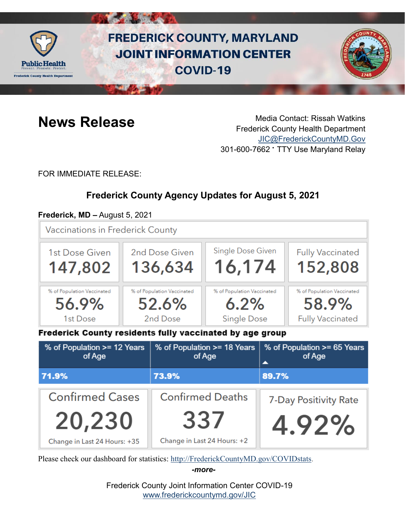

# **FREDERICK COUNTY, MARYLAND JOINT INFORMATION CENTER COVID-19**



**News Release** Media Contact: Rissah Watkins Frederick County Health Department [JIC@FrederickCountyMD.Gov](mailto:JIC@FrederickCountyMD.Gov) 301-600-7662 • TTY Use Maryland Relay

FOR IMMEDIATE RELEASE:

# **Frederick County Agency Updates for August 5, 2021**

## **Frederick, MD –** August 5, 2021

**Vaccinations in Frederick County** 



Frederick County residents fully vaccinated by age group

| % of Population >= 12 Years<br>of Age | % of Population >= 18 Years<br>of Age | % of Population >= 65 Years<br>of Age<br>▴ |
|---------------------------------------|---------------------------------------|--------------------------------------------|
| 71.9%                                 | 73.9%                                 | 89.7%                                      |
| <b>Confirmed Cases</b>                | <b>Confirmed Deaths</b>               | 7-Day Positivity Rate                      |
| 20,230                                | 337                                   | 4.92%                                      |
| Change in Last 24 Hours: +35          | Change in Last 24 Hours: +2           |                                            |

Please check our dashboard for statistics: [http://FrederickCountyMD.gov/COVIDstats.](http://frederickcountymd.gov/COVIDstats)

*-more-*

Frederick County Joint Information Center COVID-19 [www.frederickcountymd.gov/JIC](https://frederickcountymd.gov/JIC)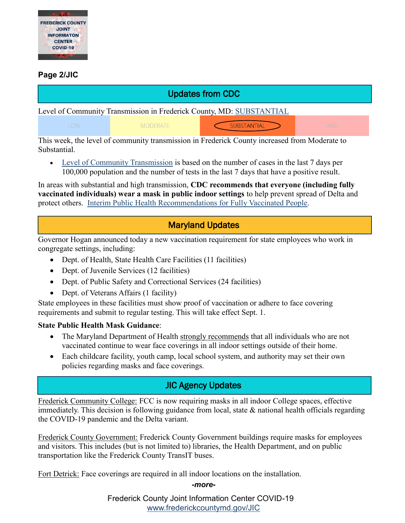

### **Page 2/JIC**

# Updates from CDC

Level of Community Transmission in Frederick County, MD: [SUBSTANTIAL](https://covid.cdc.gov/covid-data-tracker/#county-view)

**MODERATE** 

**SUBSTANTIAL** 

This week, the level of community transmission in Frederick County increased from Moderate to Substantial.

 [Level of Community Transmission](https://covid.cdc.gov/covid-data-tracker/#cases_community) is based on the number of cases in the last 7 days per 100,000 population and the number of tests in the last 7 days that have a positive result.

In areas with substantial and high transmission, **CDC recommends that everyone (including fully vaccinated individuals) wear a mask in public indoor settings** to help prevent spread of Delta and protect others. [Interim Public Health Recommendations for Fully Vaccinated People.](https://www.cdc.gov/coronavirus/2019-ncov/vaccines/fully-vaccinated-guidance.html)

# Maryland Updates

Governor Hogan announced today a new vaccination requirement for state employees who work in congregate settings, including:

- Dept. of Health, State Health Care Facilities (11 facilities)
- Dept. of Juvenile Services (12 facilities)
- Dept. of Public Safety and Correctional Services (24 facilities)
- Dept. of Veterans Affairs (1 facility)

State employees in these facilities must show proof of vaccination or adhere to face covering requirements and submit to regular testing. This will take effect Sept. 1.

#### **State Public Health Mask Guidance**:

- The Maryland Department of Health strongly recommends that all individuals who are not vaccinated continue to wear face coverings in all indoor settings outside of their home.
- Each childcare facility, youth camp, local school system, and authority may set their own policies regarding masks and face coverings.

# JIC Agency Updates

Frederick Community College: FCC is now requiring masks in all indoor College spaces, effective immediately. This decision is following guidance from local, state & national health officials regarding the COVID-19 pandemic and the Delta variant.

Frederick County Government: Frederick County Government buildings require masks for employees and visitors. This includes (but is not limited to) libraries, the Health Department, and on public transportation like the Frederick County TransIT buses.

Fort Detrick: Face coverings are required in all indoor locations on the installation.

#### *-more-*

Frederick County Joint Information Center COVID-19 [www.frederickcountymd.gov/JIC](https://frederickcountymd.gov/JIC)